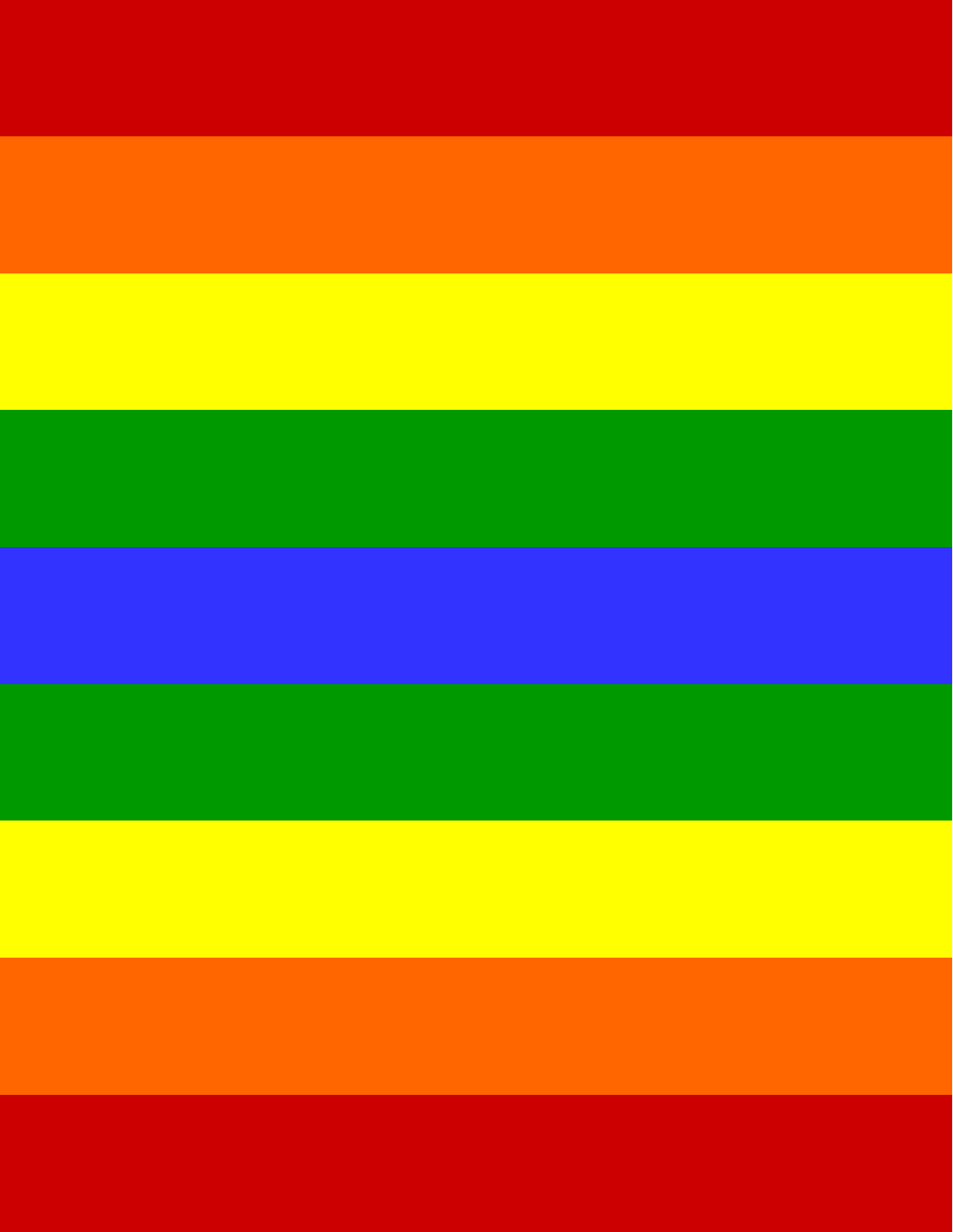